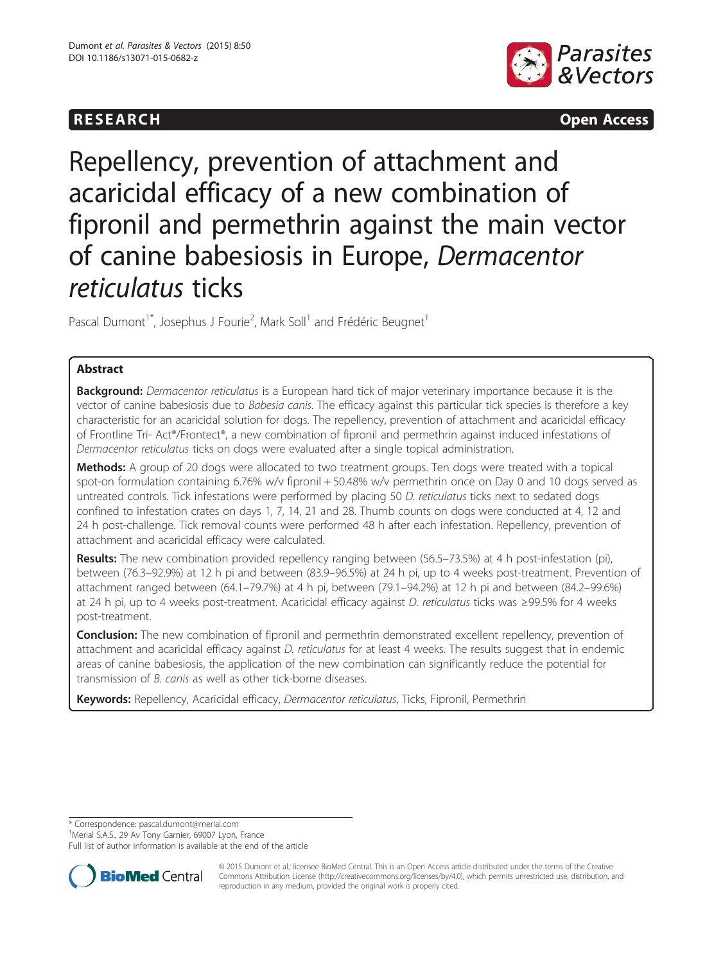# **RESEARCH RESEARCH CONSUMING ACCESS**



# Repellency, prevention of attachment and acaricidal efficacy of a new combination of fipronil and permethrin against the main vector of canine babesiosis in Europe, Dermacentor reticulatus ticks

Pascal Dumont<sup>1\*</sup>, Josephus J Fourie<sup>2</sup>, Mark Soll<sup>1</sup> and Frédéric Beugnet<sup>1</sup>

# Abstract

**Background:** Dermacentor reticulatus is a European hard tick of major veterinary importance because it is the vector of canine babesiosis due to *Babesia canis*. The efficacy against this particular tick species is therefore a key characteristic for an acaricidal solution for dogs. The repellency, prevention of attachment and acaricidal efficacy of Frontline Tri- Act®/Frontect®, a new combination of fipronil and permethrin against induced infestations of Dermacentor reticulatus ticks on dogs were evaluated after a single topical administration.

Methods: A group of 20 dogs were allocated to two treatment groups. Ten dogs were treated with a topical spot-on formulation containing 6.76% w/v fipronil + 50.48% w/v permethrin once on Day 0 and 10 dogs served as untreated controls. Tick infestations were performed by placing 50 D. reticulatus ticks next to sedated dogs confined to infestation crates on days 1, 7, 14, 21 and 28. Thumb counts on dogs were conducted at 4, 12 and 24 h post-challenge. Tick removal counts were performed 48 h after each infestation. Repellency, prevention of attachment and acaricidal efficacy were calculated.

Results: The new combination provided repellency ranging between (56.5–73.5%) at 4 h post-infestation (pi), between (76.3–92.9%) at 12 h pi and between (83.9–96.5%) at 24 h pi, up to 4 weeks post-treatment. Prevention of attachment ranged between (64.1–79.7%) at 4 h pi, between (79.1–94.2%) at 12 h pi and between (84.2–99.6%) at 24 h pi, up to 4 weeks post-treatment. Acaricidal efficacy against D. reticulatus ticks was ≥99.5% for 4 weeks post-treatment.

Conclusion: The new combination of fipronil and permethrin demonstrated excellent repellency, prevention of attachment and acaricidal efficacy against D. reticulatus for at least 4 weeks. The results suggest that in endemic areas of canine babesiosis, the application of the new combination can significantly reduce the potential for transmission of B. canis as well as other tick-borne diseases.

Keywords: Repellency, Acaricidal efficacy, Dermacentor reticulatus, Ticks, Fipronil, Permethrin

\* Correspondence: [pascal.dumont@merial.com](mailto:pascal.dumont@merial.com) <sup>1</sup>

<sup>1</sup> Merial S.A.S., 29 Av Tony Garnier, 69007 Lyon, France

Full list of author information is available at the end of the article



© 2015 Dumont et al.; licensee BioMed Central. This is an Open Access article distributed under the terms of the Creative Commons Attribution License [\(http://creativecommons.org/licenses/by/4.0\)](http://creativecommons.org/licenses/by/4.0), which permits unrestricted use, distribution, and reproduction in any medium, provided the original work is properly cited.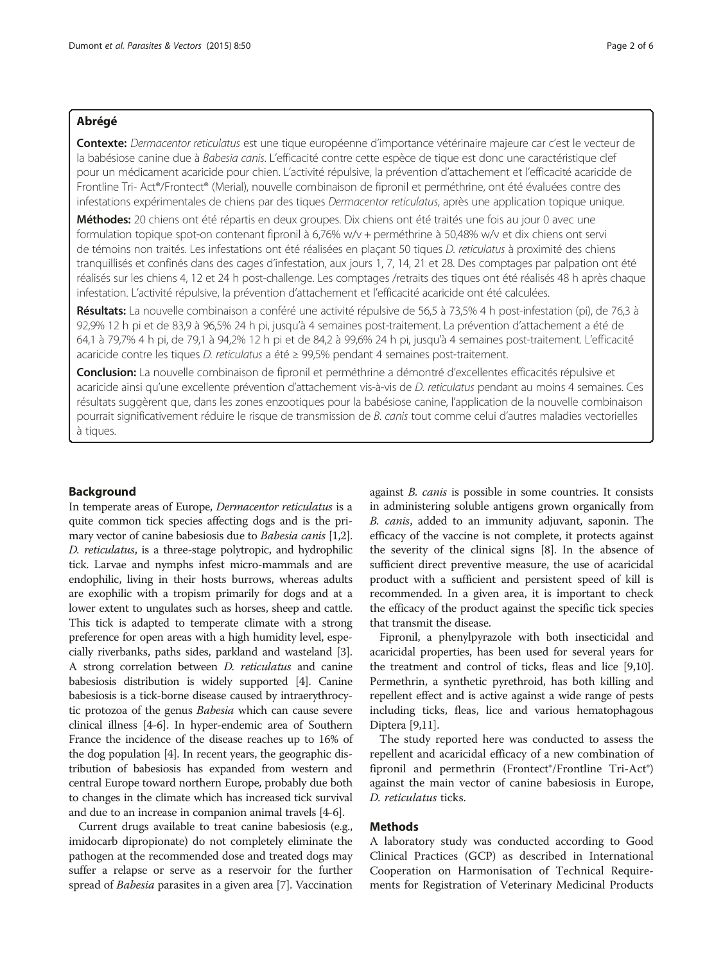#### Abrégé

Contexte: Dermacentor reticulatus est une tique européenne d'importance vétérinaire majeure car c'est le vecteur de la babésiose canine due à Babesia canis. L'efficacité contre cette espèce de tique est donc une caractéristique clef pour un médicament acaricide pour chien. L'activité répulsive, la prévention d'attachement et l'efficacité acaricide de Frontline Tri- Act®/Frontect® (Merial), nouvelle combinaison de fipronil et perméthrine, ont été évaluées contre des infestations expérimentales de chiens par des tiques Dermacentor reticulatus, après une application topique unique.

Méthodes: 20 chiens ont été répartis en deux groupes. Dix chiens ont été traités une fois au jour 0 avec une formulation topique spot-on contenant fipronil à 6,76% w/v + perméthrine à 50,48% w/v et dix chiens ont servi de témoins non traités. Les infestations ont été réalisées en plaçant 50 tiques D. reticulatus à proximité des chiens tranquillisés et confinés dans des cages d'infestation, aux jours 1, 7, 14, 21 et 28. Des comptages par palpation ont été réalisés sur les chiens 4, 12 et 24 h post-challenge. Les comptages /retraits des tiques ont été réalisés 48 h après chaque infestation. L'activité répulsive, la prévention d'attachement et l'efficacité acaricide ont été calculées.

Résultats: La nouvelle combinaison a conféré une activité répulsive de 56,5 à 73,5% 4 h post-infestation (pi), de 76,3 à 92,9% 12 h pi et de 83,9 à 96,5% 24 h pi, jusqu'à 4 semaines post-traitement. La prévention d'attachement a été de 64,1 à 79,7% 4 h pi, de 79,1 à 94,2% 12 h pi et de 84,2 à 99,6% 24 h pi, jusqu'à 4 semaines post-traitement. L'efficacité acaricide contre les tiques D. reticulatus a été ≥ 99,5% pendant 4 semaines post-traitement.

Conclusion: La nouvelle combinaison de fipronil et perméthrine a démontré d'excellentes efficacités répulsive et acaricide ainsi qu'une excellente prévention d'attachement vis-à-vis de D. reticulatus pendant au moins 4 semaines. Ces résultats suggèrent que, dans les zones enzootiques pour la babésiose canine, l'application de la nouvelle combinaison pourrait significativement réduire le risque de transmission de B. canis tout comme celui d'autres maladies vectorielles à tiques.

### Background

In temperate areas of Europe, Dermacentor reticulatus is a quite common tick species affecting dogs and is the primary vector of canine babesiosis due to Babesia canis [[1,2](#page-5-0)]. D. reticulatus, is a three-stage polytropic, and hydrophilic tick. Larvae and nymphs infest micro-mammals and are endophilic, living in their hosts burrows, whereas adults are exophilic with a tropism primarily for dogs and at a lower extent to ungulates such as horses, sheep and cattle. This tick is adapted to temperate climate with a strong preference for open areas with a high humidity level, especially riverbanks, paths sides, parkland and wasteland [[3](#page-5-0)]. A strong correlation between D. reticulatus and canine babesiosis distribution is widely supported [[4](#page-5-0)]. Canine babesiosis is a tick-borne disease caused by intraerythrocytic protozoa of the genus Babesia which can cause severe clinical illness [\[4-6\]](#page-5-0). In hyper-endemic area of Southern France the incidence of the disease reaches up to 16% of the dog population [\[4\]](#page-5-0). In recent years, the geographic distribution of babesiosis has expanded from western and central Europe toward northern Europe, probably due both to changes in the climate which has increased tick survival and due to an increase in companion animal travels [\[4-6](#page-5-0)].

Current drugs available to treat canine babesiosis (e.g., imidocarb dipropionate) do not completely eliminate the pathogen at the recommended dose and treated dogs may suffer a relapse or serve as a reservoir for the further spread of Babesia parasites in a given area [[7\]](#page-5-0). Vaccination

against B. canis is possible in some countries. It consists in administering soluble antigens grown organically from B. canis, added to an immunity adjuvant, saponin. The efficacy of the vaccine is not complete, it protects against the severity of the clinical signs [[8](#page-5-0)]. In the absence of sufficient direct preventive measure, the use of acaricidal product with a sufficient and persistent speed of kill is recommended. In a given area, it is important to check the efficacy of the product against the specific tick species that transmit the disease.

Fipronil, a phenylpyrazole with both insecticidal and acaricidal properties, has been used for several years for the treatment and control of ticks, fleas and lice [[9,10](#page-5-0)]. Permethrin, a synthetic pyrethroid, has both killing and repellent effect and is active against a wide range of pests including ticks, fleas, lice and various hematophagous Diptera [\[9,11\]](#page-5-0).

The study reported here was conducted to assess the repellent and acaricidal efficacy of a new combination of fipronil and permethrin (Frontect®/Frontline Tri-Act®) against the main vector of canine babesiosis in Europe, D. reticulatus ticks.

# Methods

A laboratory study was conducted according to Good Clinical Practices (GCP) as described in International Cooperation on Harmonisation of Technical Requirements for Registration of Veterinary Medicinal Products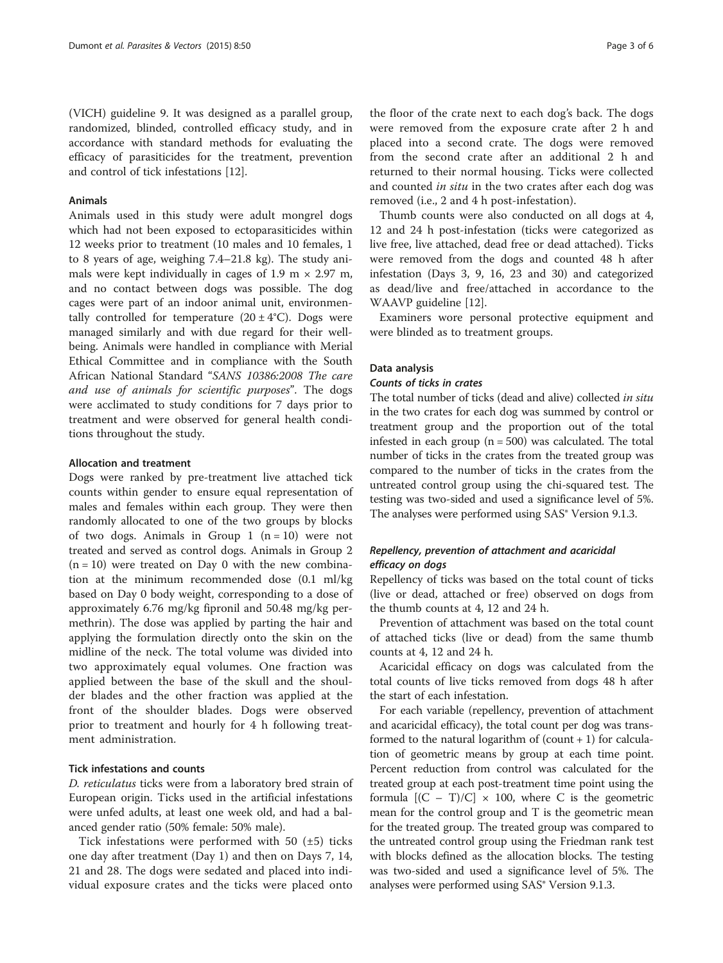(VICH) guideline 9. It was designed as a parallel group, randomized, blinded, controlled efficacy study, and in accordance with standard methods for evaluating the efficacy of parasiticides for the treatment, prevention and control of tick infestations [[12](#page-5-0)].

#### Animals

Animals used in this study were adult mongrel dogs which had not been exposed to ectoparasiticides within 12 weeks prior to treatment (10 males and 10 females, 1 to 8 years of age, weighing 7.4–21.8 kg). The study animals were kept individually in cages of 1.9 m  $\times$  2.97 m, and no contact between dogs was possible. The dog cages were part of an indoor animal unit, environmentally controlled for temperature  $(20 \pm 4^{\circ}C)$ . Dogs were managed similarly and with due regard for their wellbeing. Animals were handled in compliance with Merial Ethical Committee and in compliance with the South African National Standard "SANS 10386:2008 The care and use of animals for scientific purposes". The dogs were acclimated to study conditions for 7 days prior to treatment and were observed for general health conditions throughout the study.

#### Allocation and treatment

Dogs were ranked by pre-treatment live attached tick counts within gender to ensure equal representation of males and females within each group. They were then randomly allocated to one of the two groups by blocks of two dogs. Animals in Group 1  $(n = 10)$  were not treated and served as control dogs. Animals in Group 2  $(n = 10)$  were treated on Day 0 with the new combination at the minimum recommended dose (0.1 ml/kg based on Day 0 body weight, corresponding to a dose of approximately 6.76 mg/kg fipronil and 50.48 mg/kg permethrin). The dose was applied by parting the hair and applying the formulation directly onto the skin on the midline of the neck. The total volume was divided into two approximately equal volumes. One fraction was applied between the base of the skull and the shoulder blades and the other fraction was applied at the front of the shoulder blades. Dogs were observed prior to treatment and hourly for 4 h following treatment administration.

#### Tick infestations and counts

D. reticulatus ticks were from a laboratory bred strain of European origin. Ticks used in the artificial infestations were unfed adults, at least one week old, and had a balanced gender ratio (50% female: 50% male).

Tick infestations were performed with 50  $(\pm 5)$  ticks one day after treatment (Day 1) and then on Days 7, 14, 21 and 28. The dogs were sedated and placed into individual exposure crates and the ticks were placed onto

the floor of the crate next to each dog's back. The dogs were removed from the exposure crate after 2 h and placed into a second crate. The dogs were removed from the second crate after an additional 2 h and returned to their normal housing. Ticks were collected and counted in situ in the two crates after each dog was removed (i.e., 2 and 4 h post-infestation).

Thumb counts were also conducted on all dogs at 4, 12 and 24 h post-infestation (ticks were categorized as live free, live attached, dead free or dead attached). Ticks were removed from the dogs and counted 48 h after infestation (Days 3, 9, 16, 23 and 30) and categorized as dead/live and free/attached in accordance to the WAAVP guideline [\[12\]](#page-5-0).

Examiners wore personal protective equipment and were blinded as to treatment groups.

#### Data analysis

#### Counts of ticks in crates

The total number of ticks (dead and alive) collected in situ in the two crates for each dog was summed by control or treatment group and the proportion out of the total infested in each group  $(n = 500)$  was calculated. The total number of ticks in the crates from the treated group was compared to the number of ticks in the crates from the untreated control group using the chi-squared test. The testing was two-sided and used a significance level of 5%. The analyses were performed using SAS<sup>®</sup> Version 9.1.3.

## Repellency, prevention of attachment and acaricidal efficacy on dogs

Repellency of ticks was based on the total count of ticks (live or dead, attached or free) observed on dogs from the thumb counts at 4, 12 and 24 h.

Prevention of attachment was based on the total count of attached ticks (live or dead) from the same thumb counts at 4, 12 and 24 h.

Acaricidal efficacy on dogs was calculated from the total counts of live ticks removed from dogs 48 h after the start of each infestation.

For each variable (repellency, prevention of attachment and acaricidal efficacy), the total count per dog was transformed to the natural logarithm of  $\text{(count + 1)}$  for calculation of geometric means by group at each time point. Percent reduction from control was calculated for the treated group at each post-treatment time point using the formula  $[ (C - T)/C ] \times 100$ , where C is the geometric mean for the control group and T is the geometric mean for the treated group. The treated group was compared to the untreated control group using the Friedman rank test with blocks defined as the allocation blocks. The testing was two-sided and used a significance level of 5%. The analyses were performed using SAS® Version 9.1.3.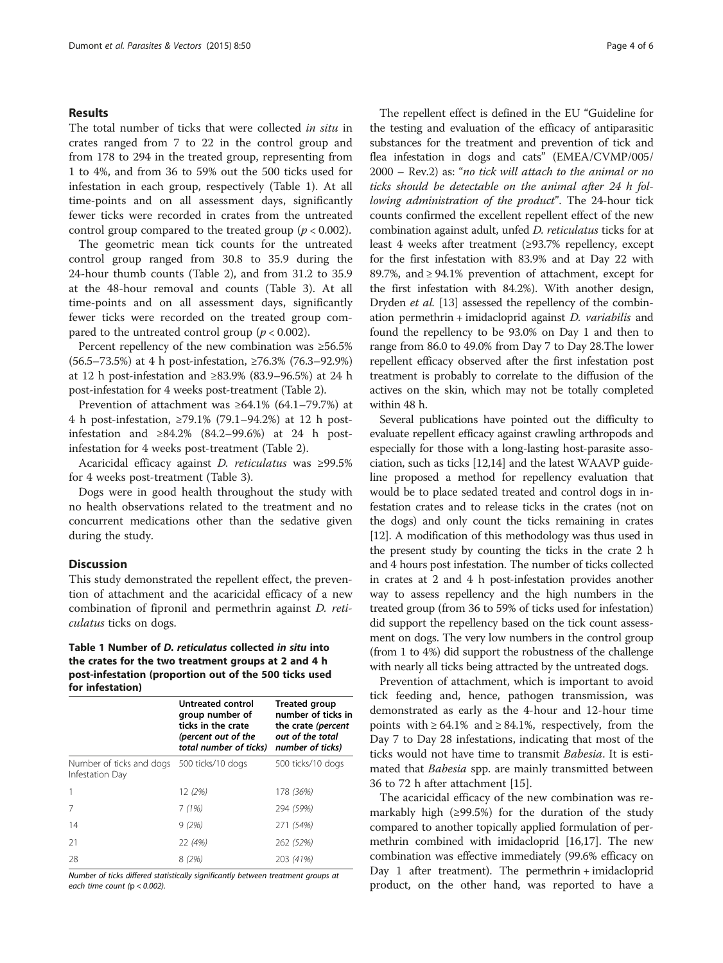#### Results

The total number of ticks that were collected in situ in crates ranged from 7 to 22 in the control group and from 178 to 294 in the treated group, representing from 1 to 4%, and from 36 to 59% out the 500 ticks used for infestation in each group, respectively (Table 1). At all time-points and on all assessment days, significantly fewer ticks were recorded in crates from the untreated control group compared to the treated group ( $p < 0.002$ ).

The geometric mean tick counts for the untreated control group ranged from 30.8 to 35.9 during the 24-hour thumb counts (Table [2](#page-4-0)), and from 31.2 to 35.9 at the 48-hour removal and counts (Table [3](#page-4-0)). At all time-points and on all assessment days, significantly fewer ticks were recorded on the treated group compared to the untreated control group ( $p < 0.002$ ).

Percent repellency of the new combination was ≥56.5% (56.5–73.5%) at 4 h post-infestation, ≥76.3% (76.3–92.9%) at 12 h post-infestation and ≥83.9% (83.9–96.5%) at 24 h post-infestation for 4 weeks post-treatment (Table [2\)](#page-4-0).

Prevention of attachment was  $\geq 64.1\%$  (64.1–79.7%) at 4 h post-infestation, ≥79.1% (79.1–94.2%) at 12 h postinfestation and  $\geq 84.2\%$  (84.2–99.6%) at 24 h postinfestation for 4 weeks post-treatment (Table [2](#page-4-0)).

Acaricidal efficacy against D. reticulatus was ≥99.5% for 4 weeks post-treatment (Table [3](#page-4-0)).

Dogs were in good health throughout the study with no health observations related to the treatment and no concurrent medications other than the sedative given during the study.

#### **Discussion**

This study demonstrated the repellent effect, the prevention of attachment and the acaricidal efficacy of a new combination of fipronil and permethrin against D. reticulatus ticks on dogs.

### Table 1 Number of D. reticulatus collected in situ into the crates for the two treatment groups at 2 and 4 h post-infestation (proportion out of the 500 ticks used for infestation)

|                                                               | Untreated control<br>group number of<br>ticks in the crate<br>(percent out of the<br>total number of ticks) | <b>Treated group</b><br>number of ticks in<br>the crate (percent<br>out of the total<br>number of ticks) |
|---------------------------------------------------------------|-------------------------------------------------------------------------------------------------------------|----------------------------------------------------------------------------------------------------------|
| Number of ticks and dogs 500 ticks/10 dogs<br>Infestation Day |                                                                                                             | 500 ticks/10 dogs                                                                                        |
| $\mathbf{1}$                                                  | 12 (2%)                                                                                                     | 178 (36%)                                                                                                |
| 7                                                             | 7(1%)                                                                                                       | 294 (59%)                                                                                                |
| 14                                                            | 9(2%)                                                                                                       | 271 (54%)                                                                                                |
| 21                                                            | 22 (4%)                                                                                                     | 262 (52%)                                                                                                |
| 28                                                            | 8 (2%)                                                                                                      | 203 (41%)                                                                                                |

Number of ticks differed statistically significantly between treatment groups at each time count ( $p < 0.002$ ).

The repellent effect is defined in the EU "Guideline for the testing and evaluation of the efficacy of antiparasitic substances for the treatment and prevention of tick and flea infestation in dogs and cats" (EMEA/CVMP/005/ 2000 – Rev.2) as: "no tick will attach to the animal or no ticks should be detectable on the animal after 24 h following administration of the product". The 24-hour tick counts confirmed the excellent repellent effect of the new combination against adult, unfed D. reticulatus ticks for at least 4 weeks after treatment (≥93.7% repellency, except for the first infestation with 83.9% and at Day 22 with 89.7%, and ≥ 94.1% prevention of attachment, except for the first infestation with 84.2%). With another design, Dryden et al. [[13\]](#page-5-0) assessed the repellency of the combination permethrin + imidacloprid against D. variabilis and found the repellency to be 93.0% on Day 1 and then to range from 86.0 to 49.0% from Day 7 to Day 28.The lower repellent efficacy observed after the first infestation post treatment is probably to correlate to the diffusion of the actives on the skin, which may not be totally completed within 48 h.

Several publications have pointed out the difficulty to evaluate repellent efficacy against crawling arthropods and especially for those with a long-lasting host-parasite association, such as ticks [\[12,14\]](#page-5-0) and the latest WAAVP guideline proposed a method for repellency evaluation that would be to place sedated treated and control dogs in infestation crates and to release ticks in the crates (not on the dogs) and only count the ticks remaining in crates [[12](#page-5-0)]. A modification of this methodology was thus used in the present study by counting the ticks in the crate 2 h and 4 hours post infestation. The number of ticks collected in crates at 2 and 4 h post-infestation provides another way to assess repellency and the high numbers in the treated group (from 36 to 59% of ticks used for infestation) did support the repellency based on the tick count assessment on dogs. The very low numbers in the control group (from 1 to 4%) did support the robustness of the challenge with nearly all ticks being attracted by the untreated dogs.

Prevention of attachment, which is important to avoid tick feeding and, hence, pathogen transmission, was demonstrated as early as the 4-hour and 12-hour time points with  $\geq 64.1\%$  and  $\geq 84.1\%$ , respectively, from the Day 7 to Day 28 infestations, indicating that most of the ticks would not have time to transmit Babesia. It is estimated that *Babesia* spp. are mainly transmitted between 36 to 72 h after attachment [\[15](#page-5-0)].

The acaricidal efficacy of the new combination was remarkably high (≥99.5%) for the duration of the study compared to another topically applied formulation of permethrin combined with imidacloprid [\[16,17](#page-5-0)]. The new combination was effective immediately (99.6% efficacy on Day 1 after treatment). The permethrin + imidacloprid product, on the other hand, was reported to have a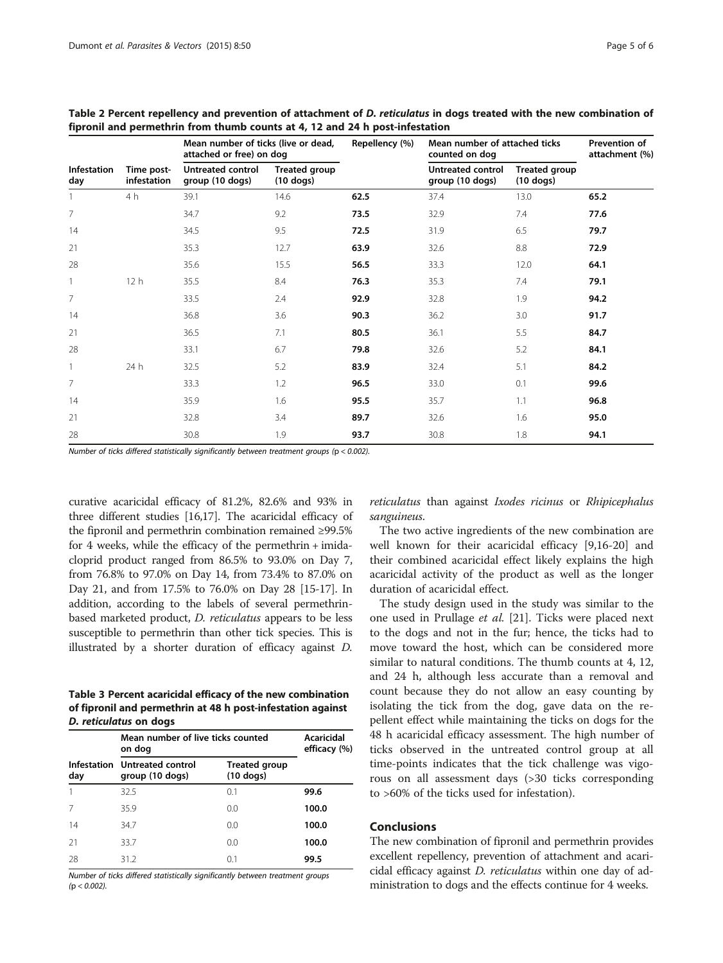|                    | Time post-<br>infestation | Mean number of ticks (live or dead,<br>attached or free) on dog |                              | Repellency (%) | Mean number of attached ticks<br>counted on dog |                                     | Prevention of<br>attachment (%) |
|--------------------|---------------------------|-----------------------------------------------------------------|------------------------------|----------------|-------------------------------------------------|-------------------------------------|---------------------------------|
| Infestation<br>day |                           | Untreated control<br>group (10 dogs)                            | Treated group<br>$(10$ dogs) |                | Untreated control<br>group (10 dogs)            | <b>Treated group</b><br>$(10$ dogs) |                                 |
|                    | 4 h                       | 39.1                                                            | 14.6                         | 62.5           | 37.4                                            | 13.0                                | 65.2                            |
| 7                  |                           | 34.7                                                            | 9.2                          | 73.5           | 32.9                                            | 7.4                                 | 77.6                            |
| 14                 |                           | 34.5                                                            | 9.5                          | 72.5           | 31.9                                            | 6.5                                 | 79.7                            |
| 21                 |                           | 35.3                                                            | 12.7                         | 63.9           | 32.6                                            | 8.8                                 | 72.9                            |
| 28                 |                           | 35.6                                                            | 15.5                         | 56.5           | 33.3                                            | 12.0                                | 64.1                            |
|                    | 12h                       | 35.5                                                            | 8.4                          | 76.3           | 35.3                                            | 7.4                                 | 79.1                            |
| 7                  |                           | 33.5                                                            | 2.4                          | 92.9           | 32.8                                            | 1.9                                 | 94.2                            |
| 14                 |                           | 36.8                                                            | 3.6                          | 90.3           | 36.2                                            | 3.0                                 | 91.7                            |
| 21                 |                           | 36.5                                                            | 7.1                          | 80.5           | 36.1                                            | 5.5                                 | 84.7                            |
| 28                 |                           | 33.1                                                            | 6.7                          | 79.8           | 32.6                                            | 5.2                                 | 84.1                            |
| 1                  | 24 h                      | 32.5                                                            | 5.2                          | 83.9           | 32.4                                            | 5.1                                 | 84.2                            |
| 7                  |                           | 33.3                                                            | 1.2                          | 96.5           | 33.0                                            | 0.1                                 | 99.6                            |
| 14                 |                           | 35.9                                                            | 1.6                          | 95.5           | 35.7                                            | 1.1                                 | 96.8                            |
| 21                 |                           | 32.8                                                            | 3.4                          | 89.7           | 32.6                                            | 1.6                                 | 95.0                            |
| 28                 |                           | 30.8                                                            | 1.9                          | 93.7           | 30.8                                            | 1.8                                 | 94.1                            |

<span id="page-4-0"></span>Table 2 Percent repellency and prevention of attachment of D. reticulatus in dogs treated with the new combination of fipronil and permethrin from thumb counts at 4, 12 and 24 h post-infestation

Number of ticks differed statistically significantly between treatment groups (p < 0.002).

curative acaricidal efficacy of 81.2%, 82.6% and 93% in three different studies [\[16,17](#page-5-0)]. The acaricidal efficacy of the fipronil and permethrin combination remained ≥99.5% for 4 weeks, while the efficacy of the permethrin + imidacloprid product ranged from 86.5% to 93.0% on Day 7, from 76.8% to 97.0% on Day 14, from 73.4% to 87.0% on Day 21, and from 17.5% to 76.0% on Day 28 [\[15-17\]](#page-5-0). In addition, according to the labels of several permethrinbased marketed product, D. reticulatus appears to be less susceptible to permethrin than other tick species. This is illustrated by a shorter duration of efficacy against D.

Table 3 Percent acaricidal efficacy of the new combination of fipronil and permethrin at 48 h post-infestation against D. reticulatus on dogs

|     | Mean number of live ticks counted<br>on dog      | Acaricidal<br>efficacy (%)          |       |
|-----|--------------------------------------------------|-------------------------------------|-------|
| day | Infestation Untreated control<br>group (10 dogs) | <b>Treated group</b><br>$(10$ dogs) |       |
|     | 32.5                                             | 0.1                                 | 99.6  |
| 7   | 35.9                                             | 0.0                                 | 100.0 |
| 14  | 34.7                                             | 0.0                                 | 100.0 |
| 21  | 33.7                                             | 0.0                                 | 100.0 |
| 28  | 31.2                                             | 0.1                                 | 99.5  |

Number of ticks differed statistically significantly between treatment groups  $(p < 0.002)$ .

reticulatus than against Ixodes ricinus or Rhipicephalus sanguineus.

The two active ingredients of the new combination are well known for their acaricidal efficacy [[9](#page-5-0),[16-20\]](#page-5-0) and their combined acaricidal effect likely explains the high acaricidal activity of the product as well as the longer duration of acaricidal effect.

The study design used in the study was similar to the one used in Prullage et al. [[21\]](#page-5-0). Ticks were placed next to the dogs and not in the fur; hence, the ticks had to move toward the host, which can be considered more similar to natural conditions. The thumb counts at 4, 12, and 24 h, although less accurate than a removal and count because they do not allow an easy counting by isolating the tick from the dog, gave data on the repellent effect while maintaining the ticks on dogs for the 48 h acaricidal efficacy assessment. The high number of ticks observed in the untreated control group at all time-points indicates that the tick challenge was vigorous on all assessment days (>30 ticks corresponding to >60% of the ticks used for infestation).

# Conclusions

The new combination of fipronil and permethrin provides excellent repellency, prevention of attachment and acaricidal efficacy against D. reticulatus within one day of administration to dogs and the effects continue for 4 weeks.